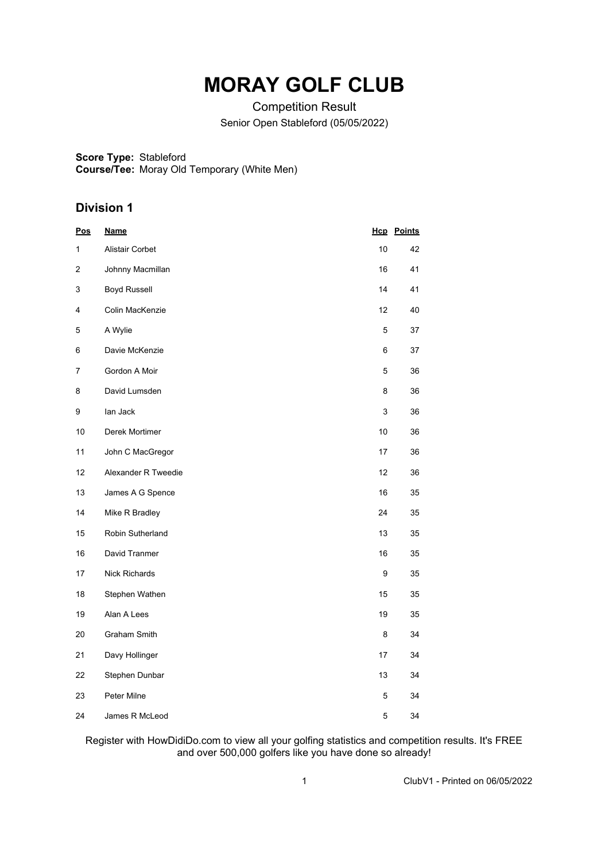# **MORAY GOLF CLUB**

Competition Result Senior Open Stableford (05/05/2022)

**Score Type:** Stableford

**Course/Tee:** Moray Old Temporary (White Men)

# **Division 1**

| <u>Pos</u> | <b>Name</b>         |      | <b>Hcp</b> Points |
|------------|---------------------|------|-------------------|
| 1          | Alistair Corbet     | $10$ | 42                |
| 2          | Johnny Macmillan    | 16   | 41                |
| 3          | <b>Boyd Russell</b> | 14   | 41                |
| 4          | Colin MacKenzie     | 12   | 40                |
| 5          | A Wylie             | 5    | 37                |
| 6          | Davie McKenzie      | 6    | 37                |
| 7          | Gordon A Moir       | 5    | 36                |
| 8          | David Lumsden       | 8    | 36                |
| 9          | lan Jack            | 3    | 36                |
| 10         | Derek Mortimer      | 10   | 36                |
| 11         | John C MacGregor    | 17   | 36                |
| 12         | Alexander R Tweedie | 12   | 36                |
| 13         | James A G Spence    | 16   | 35                |
| 14         | Mike R Bradley      | 24   | 35                |
| 15         | Robin Sutherland    | 13   | 35                |
| 16         | David Tranmer       | 16   | 35                |
| 17         | Nick Richards       | 9    | 35                |
| 18         | Stephen Wathen      | 15   | 35                |
| 19         | Alan A Lees         | 19   | 35                |
| 20         | Graham Smith        | 8    | 34                |
| 21         | Davy Hollinger      | 17   | 34                |
| 22         | Stephen Dunbar      | 13   | 34                |
| 23         | Peter Milne         | 5    | 34                |
| 24         | James R McLeod      | 5    | 34                |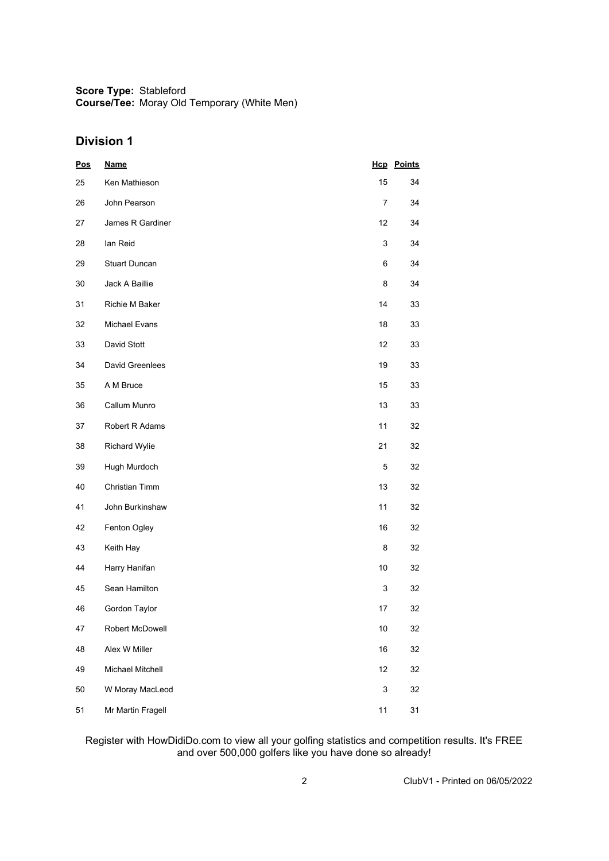## **Division 1**

| <u>Pos</u> | <u>Name</u>          |                           | <b>Hcp</b> Points |
|------------|----------------------|---------------------------|-------------------|
| 25         | Ken Mathieson        | 15                        | 34                |
| 26         | John Pearson         | 7                         | 34                |
| 27         | James R Gardiner     | 12                        | 34                |
| 28         | lan Reid             | 3                         | 34                |
| 29         | <b>Stuart Duncan</b> | 6                         | 34                |
| 30         | Jack A Baillie       | 8                         | 34                |
| 31         | Richie M Baker       | 14                        | 33                |
| 32         | Michael Evans        | 18                        | 33                |
| 33         | David Stott          | 12                        | 33                |
| 34         | David Greenlees      | 19                        | 33                |
| 35         | A M Bruce            | 15                        | 33                |
| 36         | Callum Munro         | 13                        | 33                |
| 37         | Robert R Adams       | 11                        | 32                |
| 38         | Richard Wylie        | 21                        | 32                |
| 39         | Hugh Murdoch         | 5                         | 32                |
| 40         | Christian Timm       | 13                        | 32                |
| 41         | John Burkinshaw      | 11                        | 32                |
| 42         | Fenton Ogley         | 16                        | 32                |
| 43         | Keith Hay            | 8                         | 32                |
| 44         | Harry Hanifan        | $10$                      | 32                |
| 45         | Sean Hamilton        | 3                         | 32                |
| 46         | Gordon Taylor        | 17                        | 32                |
| 47         | Robert McDowell      | $10$                      | 32                |
| 48         | Alex W Miller        | 16                        | 32                |
| 49         | Michael Mitchell     | 12                        | 32                |
| 50         | W Moray MacLeod      | $\ensuremath{\mathsf{3}}$ | 32                |
| 51         | Mr Martin Fragell    | 11                        | 31                |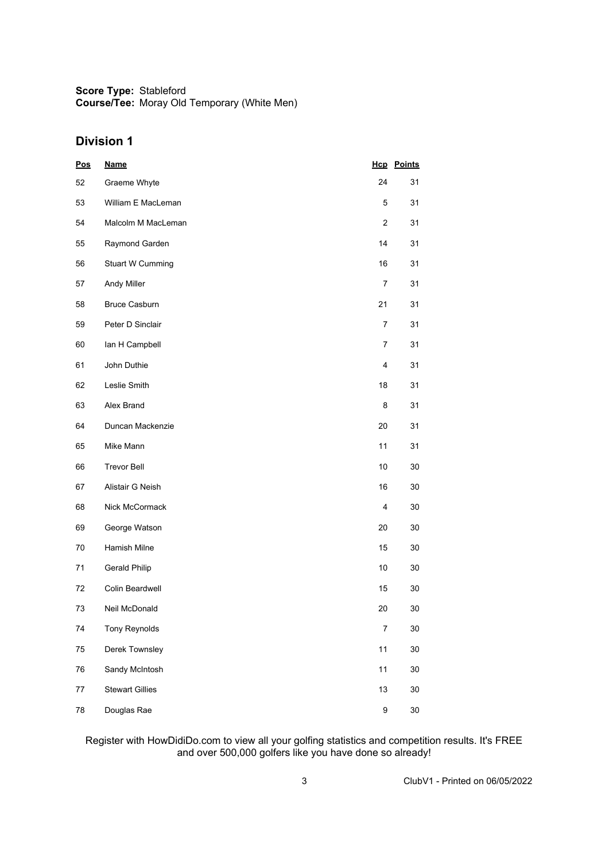## **Division 1**

| Pos    | <b>Name</b>             |                  | <b>Hcp</b> Points |
|--------|-------------------------|------------------|-------------------|
| 52     | Graeme Whyte            | 24               | 31                |
| 53     | William E MacLeman      | 5                | 31                |
| 54     | Malcolm M MacLeman      | $\overline{2}$   | 31                |
| 55     | Raymond Garden          | 14               | 31                |
| 56     | <b>Stuart W Cumming</b> | 16               | 31                |
| 57     | Andy Miller             | 7                | 31                |
| 58     | <b>Bruce Casburn</b>    | 21               | 31                |
| 59     | Peter D Sinclair        | 7                | 31                |
| 60     | lan H Campbell          | 7                | 31                |
| 61     | John Duthie             | 4                | 31                |
| 62     | Leslie Smith            | 18               | 31                |
| 63     | Alex Brand              | 8                | 31                |
| 64     | Duncan Mackenzie        | 20               | 31                |
| 65     | Mike Mann               | 11               | 31                |
| 66     | <b>Trevor Bell</b>      | 10               | 30                |
| 67     | Alistair G Neish        | 16               | 30                |
| 68     | Nick McCormack          | 4                | 30                |
| 69     | George Watson           | 20               | 30                |
| 70     | Hamish Milne            | 15               | 30                |
| 71     | Gerald Philip           | 10               | 30                |
| 72     | Colin Beardwell         | 15               | 30                |
| 73     | Neil McDonald           | 20               | 30                |
| 74     | <b>Tony Reynolds</b>    | $\boldsymbol{7}$ | 30                |
| 75     | Derek Townsley          | 11               | 30                |
| 76     | Sandy McIntosh          | 11               | 30                |
| $77\,$ | <b>Stewart Gillies</b>  | 13               | 30                |
| 78     | Douglas Rae             | 9                | $30\,$            |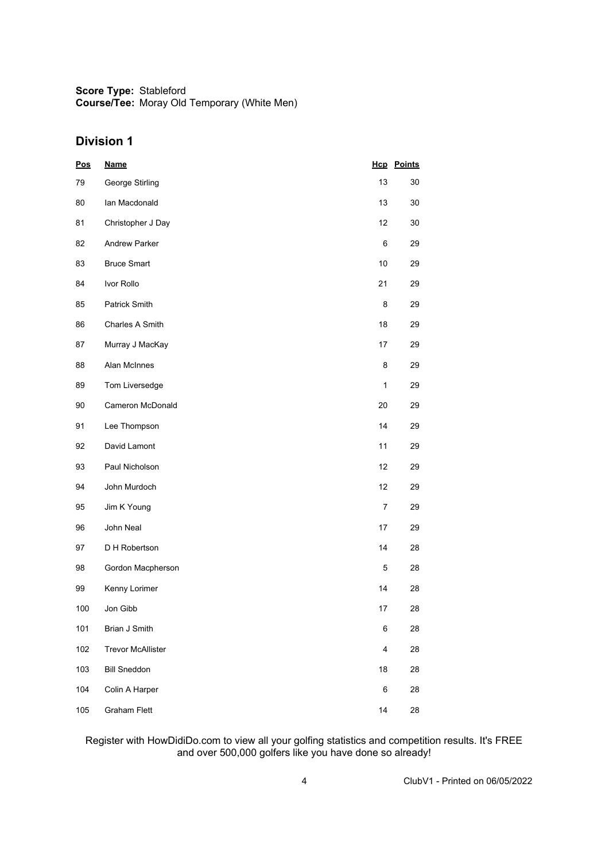## **Division 1**

| <b>Pos</b> | <b>Name</b>              |                         | <b>Hcp</b> Points |
|------------|--------------------------|-------------------------|-------------------|
| 79         | George Stirling          | 13                      | 30                |
| 80         | lan Macdonald            | 13                      | 30                |
| 81         | Christopher J Day        | 12                      | 30                |
| 82         | <b>Andrew Parker</b>     | 6                       | 29                |
| 83         | <b>Bruce Smart</b>       | 10                      | 29                |
| 84         | Ivor Rollo               | 21                      | 29                |
| 85         | Patrick Smith            | 8                       | 29                |
| 86         | <b>Charles A Smith</b>   | 18                      | 29                |
| 87         | Murray J MacKay          | 17                      | 29                |
| 88         | Alan McInnes             | 8                       | 29                |
| 89         | Tom Liversedge           | $\mathbf{1}$            | 29                |
| 90         | Cameron McDonald         | 20                      | 29                |
| 91         | Lee Thompson             | 14                      | 29                |
| 92         | David Lamont             | 11                      | 29                |
| 93         | Paul Nicholson           | 12                      | 29                |
| 94         | John Murdoch             | 12                      | 29                |
| 95         | Jim K Young              | 7                       | 29                |
| 96         | John Neal                | 17                      | 29                |
| 97         | D H Robertson            | 14                      | 28                |
| 98         | Gordon Macpherson        | 5                       | 28                |
| 99         | Kenny Lorimer            | 14                      | 28                |
| 100        | Jon Gibb                 | 17                      | 28                |
| 101        | Brian J Smith            | 6                       | 28                |
| 102        | <b>Trevor McAllister</b> | $\overline{\mathbf{4}}$ | 28                |
| 103        | <b>Bill Sneddon</b>      | 18                      | 28                |
| 104        | Colin A Harper           | 6                       | 28                |
| 105        | <b>Graham Flett</b>      | 14                      | 28                |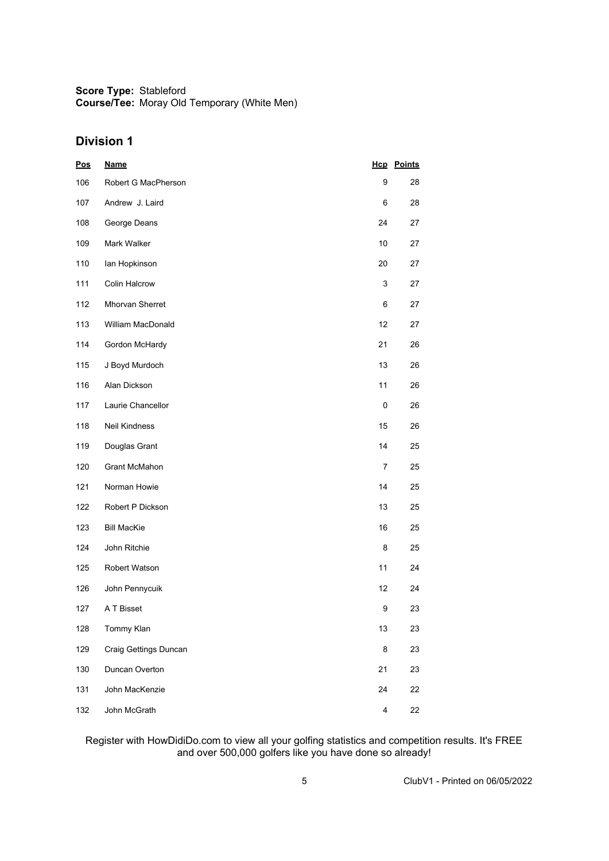## **Division 1**

| <u>Pos</u> | <u>Name</u>           |           | <b>Hcp</b> Points |
|------------|-----------------------|-----------|-------------------|
| 106        | Robert G MacPherson   | 9         | 28                |
| 107        | Andrew J. Laird       | 6         | 28                |
| 108        | George Deans          | 24        | 27                |
| 109        | Mark Walker           | 10        | 27                |
| 110        | lan Hopkinson         | 20        | 27                |
| 111        | <b>Colin Halcrow</b>  | 3         | 27                |
| 112        | Mhorvan Sherret       | 6         | 27                |
| 113        | William MacDonald     | 12        | 27                |
| 114        | Gordon McHardy        | 21        | 26                |
| 115        | J Boyd Murdoch        | 13        | 26                |
| 116        | Alan Dickson          | 11        | 26                |
| 117        | Laurie Chancellor     | $\pmb{0}$ | 26                |
| 118        | Neil Kindness         | 15        | 26                |
| 119        | Douglas Grant         | 14        | 25                |
| 120        | <b>Grant McMahon</b>  | 7         | 25                |
| 121        | Norman Howie          | 14        | 25                |
| 122        | Robert P Dickson      | 13        | 25                |
| 123        | <b>Bill MacKie</b>    | 16        | 25                |
| 124        | John Ritchie          | 8         | 25                |
| 125        | Robert Watson         | 11        | 24                |
| 126        | John Pennycuik        | 12        | 24                |
| 127        | A T Bisset            | 9         | 23                |
| 128        | Tommy Klan            | 13        | 23                |
| 129        | Craig Gettings Duncan | 8         | 23                |
| 130        | Duncan Overton        | 21        | 23                |
| 131        | John MacKenzie        | 24        | 22                |
| 132        | John McGrath          | 4         | 22                |